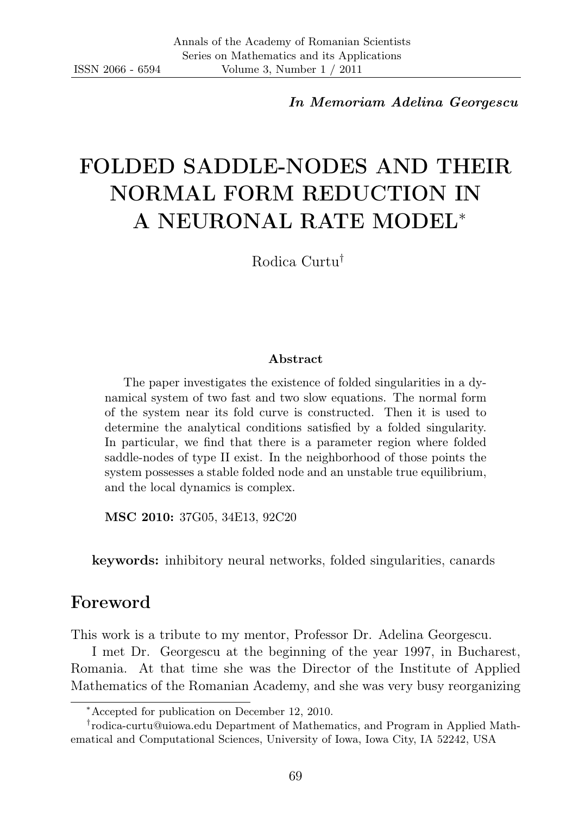In Memoriam Adelina Georgescu

# FOLDED SADDLE-NODES AND THEIR NORMAL FORM REDUCTION IN A NEURONAL RATE MODEL<sup>∗</sup>

Rodica Curtu†

#### Abstract

The paper investigates the existence of folded singularities in a dynamical system of two fast and two slow equations. The normal form of the system near its fold curve is constructed. Then it is used to determine the analytical conditions satisfied by a folded singularity. In particular, we find that there is a parameter region where folded saddle-nodes of type II exist. In the neighborhood of those points the system possesses a stable folded node and an unstable true equilibrium, and the local dynamics is complex.

MSC 2010: 37G05, 34E13, 92C20

keywords: inhibitory neural networks, folded singularities, canards

#### Foreword

This work is a tribute to my mentor, Professor Dr. Adelina Georgescu.

I met Dr. Georgescu at the beginning of the year 1997, in Bucharest, Romania. At that time she was the Director of the Institute of Applied Mathematics of the Romanian Academy, and she was very busy reorganizing

<sup>∗</sup>Accepted for publication on December 12, 2010.

<sup>†</sup> rodica-curtu@uiowa.edu Department of Mathematics, and Program in Applied Mathematical and Computational Sciences, University of Iowa, Iowa City, IA 52242, USA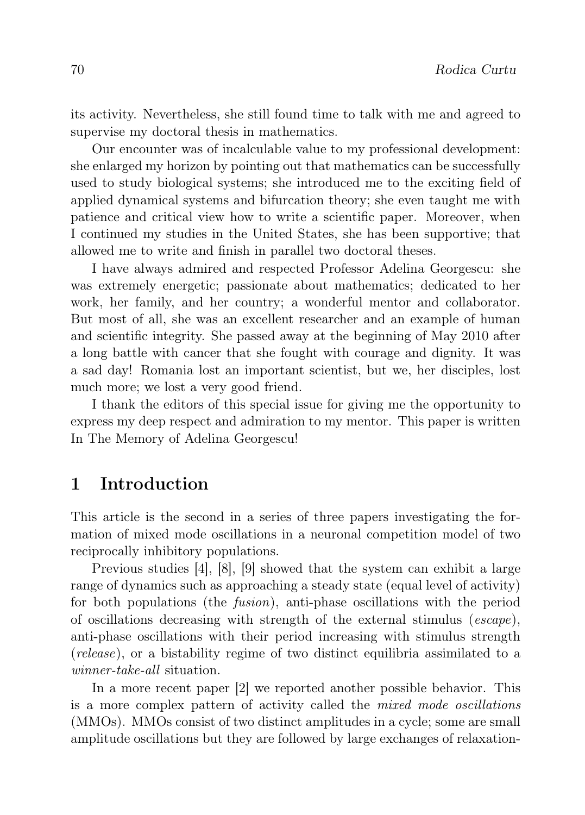its activity. Nevertheless, she still found time to talk with me and agreed to supervise my doctoral thesis in mathematics.

Our encounter was of incalculable value to my professional development: she enlarged my horizon by pointing out that mathematics can be successfully used to study biological systems; she introduced me to the exciting field of applied dynamical systems and bifurcation theory; she even taught me with patience and critical view how to write a scientific paper. Moreover, when I continued my studies in the United States, she has been supportive; that allowed me to write and finish in parallel two doctoral theses.

I have always admired and respected Professor Adelina Georgescu: she was extremely energetic; passionate about mathematics; dedicated to her work, her family, and her country; a wonderful mentor and collaborator. But most of all, she was an excellent researcher and an example of human and scientific integrity. She passed away at the beginning of May 2010 after a long battle with cancer that she fought with courage and dignity. It was a sad day! Romania lost an important scientist, but we, her disciples, lost much more; we lost a very good friend.

I thank the editors of this special issue for giving me the opportunity to express my deep respect and admiration to my mentor. This paper is written In The Memory of Adelina Georgescu!

### 1 Introduction

This article is the second in a series of three papers investigating the formation of mixed mode oscillations in a neuronal competition model of two reciprocally inhibitory populations.

Previous studies [4], [8], [9] showed that the system can exhibit a large range of dynamics such as approaching a steady state (equal level of activity) for both populations (the fusion), anti-phase oscillations with the period of oscillations decreasing with strength of the external stimulus (escape), anti-phase oscillations with their period increasing with stimulus strength (release), or a bistability regime of two distinct equilibria assimilated to a winner-take-all situation.

In a more recent paper [2] we reported another possible behavior. This is a more complex pattern of activity called the mixed mode oscillations (MMOs). MMOs consist of two distinct amplitudes in a cycle; some are small amplitude oscillations but they are followed by large exchanges of relaxation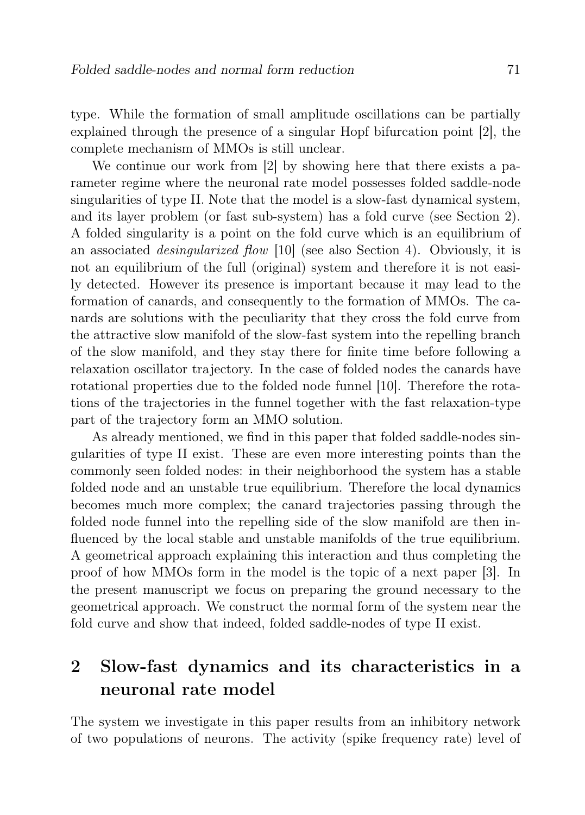type. While the formation of small amplitude oscillations can be partially explained through the presence of a singular Hopf bifurcation point [2], the complete mechanism of MMOs is still unclear.

We continue our work from [2] by showing here that there exists a parameter regime where the neuronal rate model possesses folded saddle-node singularities of type II. Note that the model is a slow-fast dynamical system, and its layer problem (or fast sub-system) has a fold curve (see Section 2). A folded singularity is a point on the fold curve which is an equilibrium of an associated desingularized flow [10] (see also Section 4). Obviously, it is not an equilibrium of the full (original) system and therefore it is not easily detected. However its presence is important because it may lead to the formation of canards, and consequently to the formation of MMOs. The canards are solutions with the peculiarity that they cross the fold curve from the attractive slow manifold of the slow-fast system into the repelling branch of the slow manifold, and they stay there for finite time before following a relaxation oscillator trajectory. In the case of folded nodes the canards have rotational properties due to the folded node funnel [10]. Therefore the rotations of the trajectories in the funnel together with the fast relaxation-type part of the trajectory form an MMO solution.

As already mentioned, we find in this paper that folded saddle-nodes singularities of type II exist. These are even more interesting points than the commonly seen folded nodes: in their neighborhood the system has a stable folded node and an unstable true equilibrium. Therefore the local dynamics becomes much more complex; the canard trajectories passing through the folded node funnel into the repelling side of the slow manifold are then influenced by the local stable and unstable manifolds of the true equilibrium. A geometrical approach explaining this interaction and thus completing the proof of how MMOs form in the model is the topic of a next paper [3]. In the present manuscript we focus on preparing the ground necessary to the geometrical approach. We construct the normal form of the system near the fold curve and show that indeed, folded saddle-nodes of type II exist.

# 2 Slow-fast dynamics and its characteristics in a neuronal rate model

The system we investigate in this paper results from an inhibitory network of two populations of neurons. The activity (spike frequency rate) level of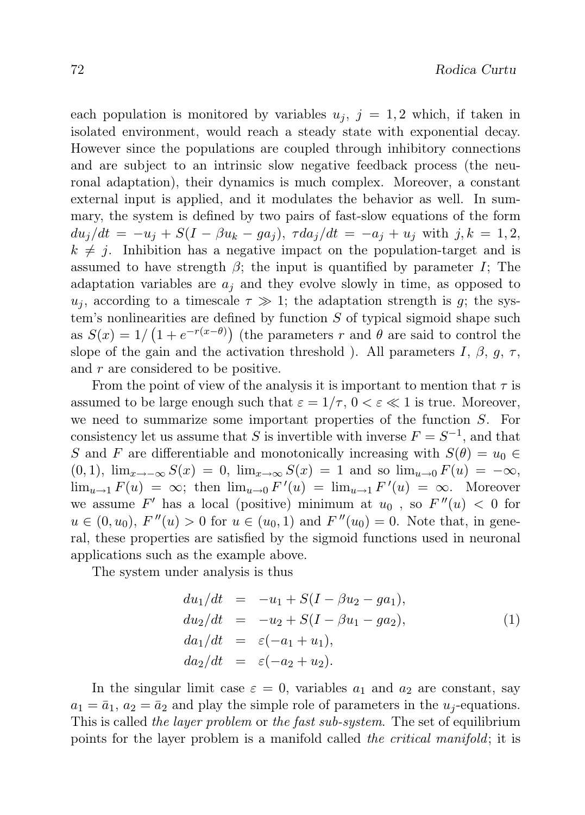each population is monitored by variables  $u_i$ ,  $j = 1, 2$  which, if taken in isolated environment, would reach a steady state with exponential decay. However since the populations are coupled through inhibitory connections and are subject to an intrinsic slow negative feedback process (the neuronal adaptation), their dynamics is much complex. Moreover, a constant external input is applied, and it modulates the behavior as well. In summary, the system is defined by two pairs of fast-slow equations of the form  $du_i/dt = -u_i + S(I - \beta u_k - ga_i), \ \tau da_i/dt = -a_i + u_i \text{ with } j, k = 1, 2,$  $k \neq j$ . Inhibition has a negative impact on the population-target and is assumed to have strength  $\beta$ ; the input is quantified by parameter I; The adaptation variables are  $a_i$  and they evolve slowly in time, as opposed to  $u_i$ , according to a timescale  $\tau \gg 1$ ; the adaptation strength is g; the system's nonlinearities are defined by function  $S$  of typical sigmoid shape such as  $S(x) = 1/(1 + e^{-r(x-\theta)})$  (the parameters r and  $\theta$  are said to control the slope of the gain and the activation threshold ). All parameters I,  $\beta$ , g,  $\tau$ , and r are considered to be positive.

From the point of view of the analysis it is important to mention that  $\tau$  is assumed to be large enough such that  $\varepsilon = 1/\tau$ ,  $0 < \varepsilon \ll 1$  is true. Moreover, we need to summarize some important properties of the function  $S$ . For consistency let us assume that S is invertible with inverse  $F = S^{-1}$ , and that S and F are differentiable and monotonically increasing with  $S(\theta) = u_0 \in$  $(0, 1)$ ,  $\lim_{x\to-\infty} S(x) = 0$ ,  $\lim_{x\to\infty} S(x) = 1$  and so  $\lim_{u\to0} F(u) = -\infty$ ,  $\lim_{u\to 1} F(u) = \infty$ ; then  $\lim_{u\to 0} F'(u) = \lim_{u\to 1} F'(u) = \infty$ . Moreover we assume  $F'$  has a local (positive) minimum at  $u_0$ , so  $F''(u) < 0$  for  $u \in (0, u_0)$ ,  $F''(u) > 0$  for  $u \in (u_0, 1)$  and  $F''(u_0) = 0$ . Note that, in general, these properties are satisfied by the sigmoid functions used in neuronal applications such as the example above.

The system under analysis is thus

$$
du_1/dt = -u_1 + S(I - \beta u_2 - ga_1),
$$
  
\n
$$
du_2/dt = -u_2 + S(I - \beta u_1 - ga_2),
$$
  
\n
$$
da_1/dt = \varepsilon(-a_1 + u_1),
$$
  
\n
$$
da_2/dt = \varepsilon(-a_2 + u_2).
$$
\n(1)

In the singular limit case  $\varepsilon = 0$ , variables  $a_1$  and  $a_2$  are constant, say  $a_1 = \bar{a}_1$ ,  $a_2 = \bar{a}_2$  and play the simple role of parameters in the  $u_i$ -equations. This is called the layer problem or the fast sub-system. The set of equilibrium points for the layer problem is a manifold called the critical manifold; it is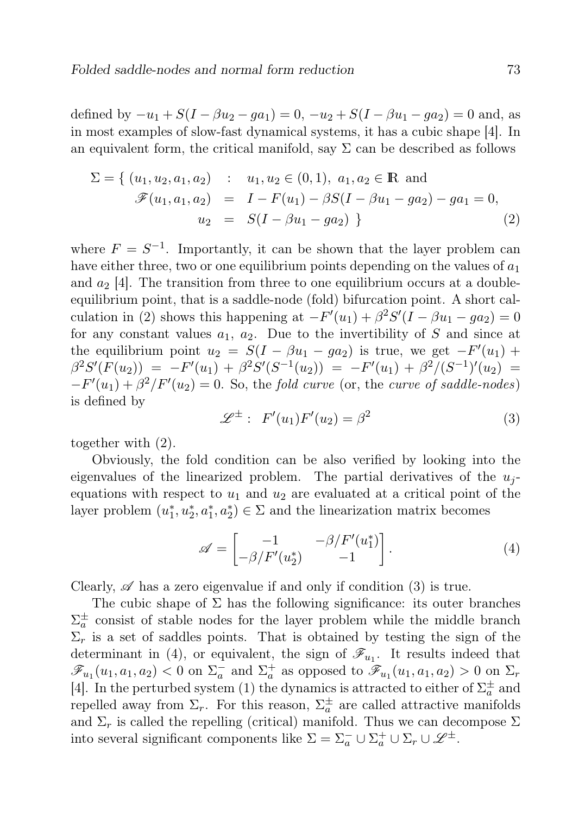defined by  $-u_1 + S(I - \beta u_2 - ga_1) = 0$ ,  $-u_2 + S(I - \beta u_1 - ga_2) = 0$  and, as in most examples of slow-fast dynamical systems, it has a cubic shape [4]. In an equivalent form, the critical manifold, say  $\Sigma$  can be described as follows

$$
\Sigma = \{ (u_1, u_2, a_1, a_2) : u_1, u_2 \in (0, 1), a_1, a_2 \in \mathbb{R} \text{ and}
$$
  

$$
\mathscr{F}(u_1, a_1, a_2) = I - F(u_1) - \beta S(I - \beta u_1 - ga_2) - ga_1 = 0,
$$
  

$$
u_2 = S(I - \beta u_1 - ga_2) \}
$$
 (2)

where  $F = S^{-1}$ . Importantly, it can be shown that the layer problem can have either three, two or one equilibrium points depending on the values of  $a_1$ and  $a_2$  [4]. The transition from three to one equilibrium occurs at a doubleequilibrium point, that is a saddle-node (fold) bifurcation point. A short calculation in (2) shows this happening at  $-F'(u_1) + \beta^2 S'(I - \beta u_1 - ga_2) = 0$ for any constant values  $a_1, a_2$ . Due to the invertibility of S and since at the equilibrium point  $u_2 = S(I - \beta u_1 - ga_2)$  is true, we get  $-F'(u_1)$  +  $\beta^2 S'(F(u_2)) = -F'(u_1) + \beta^2 S'(S^{-1}(u_2)) = -F'(u_1) + \beta^2/(S^{-1})'(u_2) =$  $-F'(u_1)+\beta^2/F'(u_2)=0$ . So, the fold curve (or, the curve of saddle-nodes) is defined by

$$
\mathcal{L}^{\pm} : F'(u_1)F'(u_2) = \beta^2 \tag{3}
$$

together with (2).

Obviously, the fold condition can be also verified by looking into the eigenvalues of the linearized problem. The partial derivatives of the  $u_i$ equations with respect to  $u_1$  and  $u_2$  are evaluated at a critical point of the layer problem  $(u_1^*, u_2^*, a_1^*, a_2^*) \in \Sigma$  and the linearization matrix becomes

$$
\mathscr{A} = \begin{bmatrix} -1 & -\beta/F'(u_1^*) \\ -\beta/F'(u_2^*) & -1 \end{bmatrix} . \tag{4}
$$

Clearly,  $\mathscr A$  has a zero eigenvalue if and only if condition (3) is true.

The cubic shape of  $\Sigma$  has the following significance: its outer branches  $\Sigma_a^{\pm}$  consist of stable nodes for the layer problem while the middle branch  $\Sigma_r$  is a set of saddles points. That is obtained by testing the sign of the determinant in (4), or equivalent, the sign of  $\mathscr{F}_{u_1}$ . It results indeed that  $\mathscr{F}_{u_1}(u_1, a_1, a_2) < 0$  on  $\Sigma_a^-$  and  $\Sigma_a^+$  as opposed to  $\mathscr{F}_{u_1}(u_1, a_1, a_2) > 0$  on  $\Sigma_r$ [4]. In the perturbed system (1) the dynamics is attracted to either of  $\Sigma^\pm_a$  and repelled away from  $\Sigma_r$ . For this reason,  $\Sigma_a^{\pm}$  are called attractive manifolds and  $\Sigma_r$  is called the repelling (critical) manifold. Thus we can decompose  $\Sigma$ into several significant components like  $\Sigma = \Sigma_a^- \cup \Sigma_a^+ \cup \Sigma_r \cup \mathscr{L}^{\pm}$ .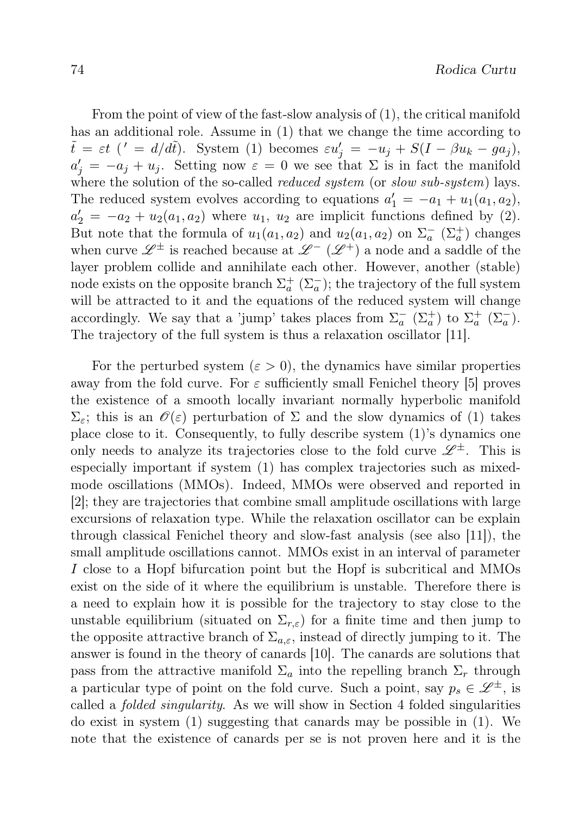From the point of view of the fast-slow analysis of (1), the critical manifold has an additional role. Assume in (1) that we change the time according to  $\tilde{t} = \varepsilon t$  (' =  $d/d\tilde{t}$ ). System (1) becomes  $\varepsilon u'_j = -u_j + S(I - \beta u_k - ga_j)$ ,  $a'_j = -a_j + u_j$ . Setting now  $\varepsilon = 0$  we see that  $\Sigma$  is in fact the manifold where the solution of the so-called *reduced system* (or slow sub-system) lays. The reduced system evolves according to equations  $a'_1 = -a_1 + u_1(a_1, a_2)$ ,  $a'_2 = -a_2 + u_2(a_1, a_2)$  where  $u_1, u_2$  are implicit functions defined by (2). But note that the formula of  $u_1(a_1, a_2)$  and  $u_2(a_1, a_2)$  on  $\Sigma_a^ (\Sigma_a^+)$  changes when curve  $\mathscr{L}^{\pm}$  is reached because at  $\mathscr{L}^{-}(\mathscr{L}^{+})$  a node and a saddle of the layer problem collide and annihilate each other. However, another (stable) node exists on the opposite branch  $\Sigma_a^+$   $(\Sigma_a^-)$ ; the trajectory of the full system will be attracted to it and the equations of the reduced system will change accordingly. We say that a 'jump' takes places from  $\Sigma_a^ (\Sigma_a^+)$  to  $\Sigma_a^+$   $(\Sigma_a^-)$ . The trajectory of the full system is thus a relaxation oscillator [11].

For the perturbed system  $(\varepsilon > 0)$ , the dynamics have similar properties away from the fold curve. For  $\varepsilon$  sufficiently small Fenichel theory [5] proves the existence of a smooth locally invariant normally hyperbolic manifold  $\Sigma_{\varepsilon}$ ; this is an  $\mathscr{O}(\varepsilon)$  perturbation of  $\Sigma$  and the slow dynamics of (1) takes place close to it. Consequently, to fully describe system (1)'s dynamics one only needs to analyze its trajectories close to the fold curve  $\mathscr{L}^{\pm}$ . This is especially important if system (1) has complex trajectories such as mixedmode oscillations (MMOs). Indeed, MMOs were observed and reported in [2]; they are trajectories that combine small amplitude oscillations with large excursions of relaxation type. While the relaxation oscillator can be explain through classical Fenichel theory and slow-fast analysis (see also [11]), the small amplitude oscillations cannot. MMOs exist in an interval of parameter I close to a Hopf bifurcation point but the Hopf is subcritical and MMOs exist on the side of it where the equilibrium is unstable. Therefore there is a need to explain how it is possible for the trajectory to stay close to the unstable equilibrium (situated on  $\Sigma_{r,\varepsilon}$ ) for a finite time and then jump to the opposite attractive branch of  $\Sigma_{a,\varepsilon}$ , instead of directly jumping to it. The answer is found in the theory of canards [10]. The canards are solutions that pass from the attractive manifold  $\Sigma_a$  into the repelling branch  $\Sigma_r$  through a particular type of point on the fold curve. Such a point, say  $p_s \in \mathscr{L}^{\pm}$ , is called a folded singularity. As we will show in Section 4 folded singularities do exist in system (1) suggesting that canards may be possible in (1). We note that the existence of canards per se is not proven here and it is the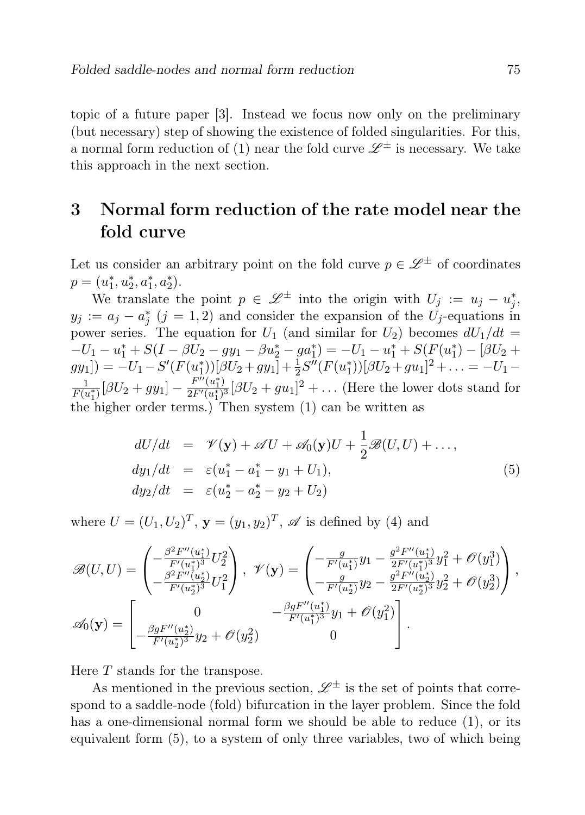topic of a future paper [3]. Instead we focus now only on the preliminary (but necessary) step of showing the existence of folded singularities. For this, a normal form reduction of (1) near the fold curve  $\mathscr{L}^\pm$  is necessary. We take this approach in the next section.

# 3 Normal form reduction of the rate model near the fold curve

Let us consider an arbitrary point on the fold curve  $p \in \mathscr{L}^{\pm}$  of coordinates  $p = (u_1^*, u_2^*, a_1^*, a_2^*).$ 

We translate the point  $p \in \mathscr{L}^{\pm}$  into the origin with  $U_j := u_j - u_j^*$ ,  $y_j := a_j - a_j^*$  (j = 1, 2) and consider the expansion of the  $U_j$ -equations in power series. The equation for  $U_1$  (and similar for  $U_2$ ) becomes  $dU_1/dt =$  $-U_1 - u_1^* + S(I - \beta U_2 - gy_1 - \beta u_2^* - ga_1^*) = -U_1 - u_1^* + S(F(u_1^*) - [\beta U_2 +$  $gy_1$ ]) =  $-U_1 - S'(F(u_1^*))[\beta U_2 + gy_1] + \frac{1}{2}S''(F(u_1^*))[\beta U_2 + gu_1]^2 + \ldots = -U_1 -$ 1  $\frac{1}{F(u_1^*)}[\beta U_2 + gy_1] - \frac{F''(u_1^*)}{2F'(u_1^*)}$  $\frac{F''(u_1^*)}{2F'(u_1^*)^3}[\beta U_2 + gu_1]^2 + \ldots$  (Here the lower dots stand for the higher order terms.) Then system (1) can be written as

$$
dU/dt = \mathcal{V}(\mathbf{y}) + \mathcal{A}U + \mathcal{A}_0(\mathbf{y})U + \frac{1}{2}\mathcal{B}(U, U) + ..., \ndy_1/dt = \varepsilon(u_1^* - a_1^* - y_1 + U_1), \ndy_2/dt = \varepsilon(u_2^* - a_2^* - y_2 + U_2)
$$
\n(5)

where  $U = (U_1, U_2)^T$ ,  $\mathbf{y} = (y_1, y_2)^T$ ,  $\mathscr A$  is defined by (4) and

$$
\mathscr{B}(U,U) = \begin{pmatrix} -\frac{\beta^2 F''(u_1^*)}{F'(u_1^*)^3} U_2^2 \\ -\frac{\beta^2 F''(u_2^*)}{F'(u_2^*)^3} U_1^2 \end{pmatrix}, \ \mathscr{V}(\mathbf{y}) = \begin{pmatrix} -\frac{g}{F'(u_1^*)} y_1 - \frac{g^2 F''(u_1^*)}{2F'(u_1^*)^3} y_1^2 + \mathscr{O}(y_1^3) \\ -\frac{g}{F'(u_2^*)^3} y_2 - \frac{g^2 F''(u_2^*)}{2F'(u_2^*)^3} y_2^2 + \mathscr{O}(y_2^3) \end{pmatrix}, \\ \mathscr{A}_0(\mathbf{y}) = \begin{bmatrix} 0 & -\frac{\beta g F''(u_1^*)}{F'(u_1^*)^3} y_1 + \mathscr{O}(y_1^2) \\ -\frac{\beta g F''(u_1^*)}{F'(u_1^*)^3} y_1 + \mathscr{O}(y_1^2) \\ 0 \end{bmatrix}.
$$

Here T stands for the transpose.

As mentioned in the previous section,  $\mathscr{L}^{\pm}$  is the set of points that correspond to a saddle-node (fold) bifurcation in the layer problem. Since the fold has a one-dimensional normal form we should be able to reduce (1), or its equivalent form (5), to a system of only three variables, two of which being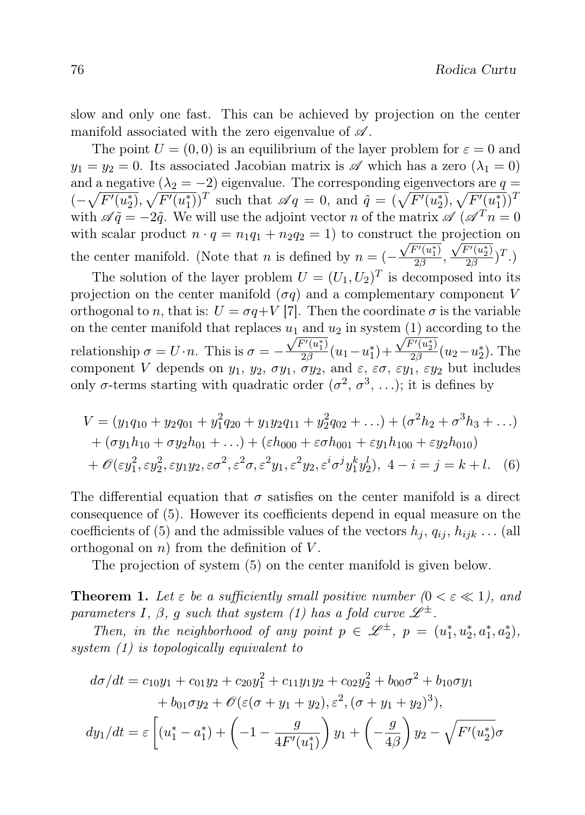slow and only one fast. This can be achieved by projection on the center manifold associated with the zero eigenvalue of  $\mathscr A$ .

The point  $U = (0, 0)$  is an equilibrium of the layer problem for  $\varepsilon = 0$  and  $y_1 = y_2 = 0$ . Its associated Jacobian matrix is  $\mathscr A$  which has a zero  $(\lambda_1 = 0)$ and a negative  $(\lambda_2 = -2)$  eigenvalue. The corresponding eigenvectors are  $q =$  $(-\sqrt{F'(u_2^*)}, \sqrt{F'(u_1^*)})^T$  such that  $\mathscr{A}q = 0$ , and  $\tilde{q} = (\sqrt{F'(u_2^*)}, \sqrt{F'(u_1^*)})^T$ with  $\mathscr{A}\tilde{q} = -2\tilde{q}$ . We will use the adjoint vector n of the matrix  $\mathscr{A}(\mathscr{A}^T n = 0)$ with scalar product  $n \cdot q = n_1 q_1 + n_2 q_2 = 1$  to construct the projection on the center manifold. (Note that *n* is defined by  $n = \left(-\frac{\sqrt{F'(u_1^*)}}{2\beta}\right)$  $\frac{\overline{F'(u_1^*)}}{2\beta}, \frac{\sqrt{F'(u_2^*)}}{2\beta}$  $\frac{T'(u_2)}{2\beta})^T$ .) The solution of the layer problem  $U = (U_1, U_2)^T$  is decomposed into its

projection on the center manifold  $(\sigma q)$  and a complementary component V orthogonal to n, that is:  $U = \sigma q + V$  [7]. Then the coordinate  $\sigma$  is the variable on the center manifold that replaces  $u_1$  and  $u_2$  in system  $(1)$  according to the relationship  $\sigma = U \cdot n$ . This is  $\sigma = -\frac{\sqrt{F'(u_1^*)}}{2\beta}$  $\sqrt{\frac{F'(u_1^*)}{2\beta}}(u_1-u_1^*)+\frac{\sqrt{F'(u_2^*)}}{2\beta}$  $\frac{u_2^{(u_2)}(u_2-u_2^*)}{2\beta}$ . The component V depends on  $y_1$ ,  $y_2$ ,  $\sigma y_1$ ,  $\sigma y_2$ , and  $\varepsilon$ ,  $\varepsilon \sigma$ ,  $\varepsilon y_1$ ,  $\varepsilon y_2$  but includes only  $\sigma$ -terms starting with quadratic order  $(\sigma^2, \sigma^3, \ldots)$ ; it is defines by

$$
V = (y_1 q_{10} + y_2 q_{01} + y_1^2 q_{20} + y_1 y_2 q_{11} + y_2^2 q_{02} + \dots) + (\sigma^2 h_2 + \sigma^3 h_3 + \dots)
$$
  
+  $(\sigma y_1 h_{10} + \sigma y_2 h_{01} + \dots) + (\varepsilon h_{000} + \varepsilon \sigma h_{001} + \varepsilon y_1 h_{100} + \varepsilon y_2 h_{010})$   
+  $\mathcal{O}(\varepsilon y_1^2, \varepsilon y_2^2, \varepsilon y_1 y_2, \varepsilon \sigma^2, \varepsilon^2 \sigma, \varepsilon^2 y_1, \varepsilon^2 y_2, \varepsilon^i \sigma^j y_1^k y_2^l), 4 - i = j = k + l.$  (6)

The differential equation that  $\sigma$  satisfies on the center manifold is a direct consequence of (5). However its coefficients depend in equal measure on the coefficients of (5) and the admissible values of the vectors  $h_j, q_{ij}, h_{ijk} \dots$  (all orthogonal on  $n$ ) from the definition of V.

The projection of system (5) on the center manifold is given below.

**Theorem 1.** Let  $\varepsilon$  be a sufficiently small positive number  $(0 \lt \varepsilon \ll 1)$ , and parameters I,  $\beta$ , g such that system (1) has a fold curve  $\mathscr{L}^{\pm}$ .

Then, in the neighborhood of any point  $p \in \mathcal{L}^{\pm}$ ,  $p = (u_1^*, u_2^*, a_1^*, a_2^*)$ , system (1) is topologically equivalent to

$$
d\sigma/dt = c_{10}y_1 + c_{01}y_2 + c_{20}y_1^2 + c_{11}y_1y_2 + c_{02}y_2^2 + b_{00}\sigma^2 + b_{10}\sigma y_1
$$
  
+  $b_{01}\sigma y_2 + \mathcal{O}(\varepsilon(\sigma + y_1 + y_2), \varepsilon^2, (\sigma + y_1 + y_2)^3),$   

$$
dy_1/dt = \varepsilon \left[ (u_1^* - a_1^*) + \left( -1 - \frac{g}{4F'(u_1^*)} \right) y_1 + \left( -\frac{g}{4\beta} \right) y_2 - \sqrt{F'(u_2^*)} \sigma \right]
$$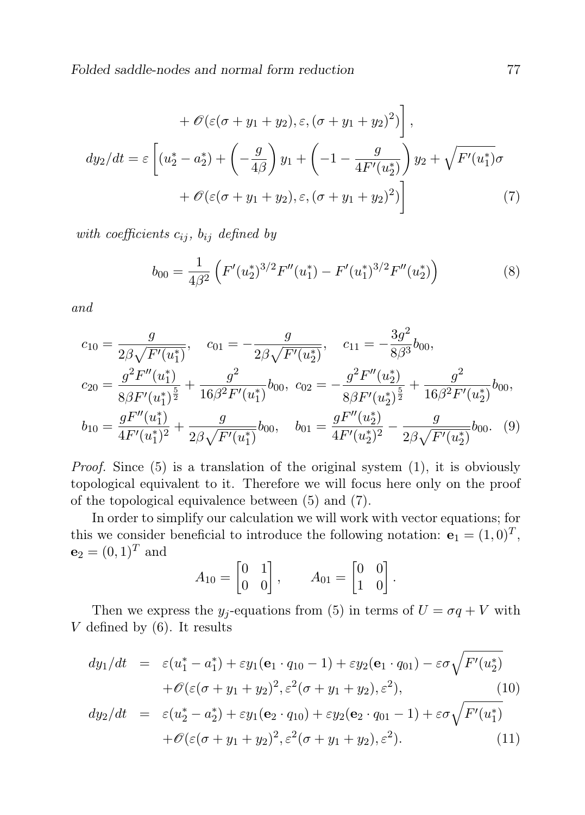Folded saddle-nodes and normal form reduction  $77$ 

$$
+\mathscr{O}(\varepsilon(\sigma+y_1+y_2), \varepsilon, (\sigma+y_1+y_2)^2)\bigg],
$$
  

$$
dy_2/dt = \varepsilon \left[ (u_2^* - a_2^*) + \left( -\frac{g}{4\beta} \right) y_1 + \left( -1 - \frac{g}{4F'(u_2^*)} \right) y_2 + \sqrt{F'(u_1^*)} \sigma
$$
  

$$
+\mathscr{O}(\varepsilon(\sigma+y_1+y_2), \varepsilon, (\sigma+y_1+y_2)^2) \right]
$$
(7)

with coefficients  $c_{ij}$ ,  $b_{ij}$  defined by

$$
b_{00} = \frac{1}{4\beta^2} \left( F'(u_2^*)^{3/2} F''(u_1^*) - F'(u_1^*)^{3/2} F''(u_2^*) \right) \tag{8}
$$

and

$$
c_{10} = \frac{g}{2\beta\sqrt{F'(u_1^*)}}, \quad c_{01} = -\frac{g}{2\beta\sqrt{F'(u_2^*)}}, \quad c_{11} = -\frac{3g^2}{8\beta^3}b_{00},
$$
  
\n
$$
c_{20} = \frac{g^2F''(u_1^*)}{8\beta F'(u_1^*)^{\frac{5}{2}}} + \frac{g^2}{16\beta^2 F'(u_1^*)}b_{00}, \quad c_{02} = -\frac{g^2F''(u_2^*)}{8\beta F'(u_2^*)^{\frac{5}{2}}} + \frac{g^2}{16\beta^2 F'(u_2^*)}b_{00},
$$
  
\n
$$
b_{10} = \frac{gF''(u_1^*)}{4F'(u_1^*)^2} + \frac{g}{2\beta\sqrt{F'(u_1^*)}}b_{00}, \quad b_{01} = \frac{gF''(u_2^*)}{4F'(u_2^*)^2} - \frac{g}{2\beta\sqrt{F'(u_2^*)}}b_{00}. \quad (9)
$$

Proof. Since (5) is a translation of the original system (1), it is obviously topological equivalent to it. Therefore we will focus here only on the proof of the topological equivalence between (5) and (7).

In order to simplify our calculation we will work with vector equations; for this we consider beneficial to introduce the following notation:  $\mathbf{e}_1 = (1, 0)^T$ ,  **and** 

$$
A_{10} = \begin{bmatrix} 0 & 1 \\ 0 & 0 \end{bmatrix}, \qquad A_{01} = \begin{bmatrix} 0 & 0 \\ 1 & 0 \end{bmatrix}.
$$

Then we express the  $y_i$ -equations from (5) in terms of  $U = \sigma q + V$  with  $V$  defined by  $(6)$ . It results

$$
dy_1/dt = \varepsilon (u_1^* - a_1^*) + \varepsilon y_1 (\mathbf{e}_1 \cdot q_{10} - 1) + \varepsilon y_2 (\mathbf{e}_1 \cdot q_{01}) - \varepsilon \sigma \sqrt{F'(u_2^*)} + \mathcal{O}(\varepsilon (\sigma + y_1 + y_2)^2, \varepsilon^2 (\sigma + y_1 + y_2), \varepsilon^2),
$$
(10)

$$
dy_2/dt = \varepsilon (u_2^* - a_2^*) + \varepsilon y_1 (\mathbf{e}_2 \cdot q_{10}) + \varepsilon y_2 (\mathbf{e}_2 \cdot q_{01} - 1) + \varepsilon \sigma \sqrt{F'(u_1^*)} + \mathcal{O}(\varepsilon (\sigma + y_1 + y_2)^2, \varepsilon^2 (\sigma + y_1 + y_2), \varepsilon^2).
$$
 (11)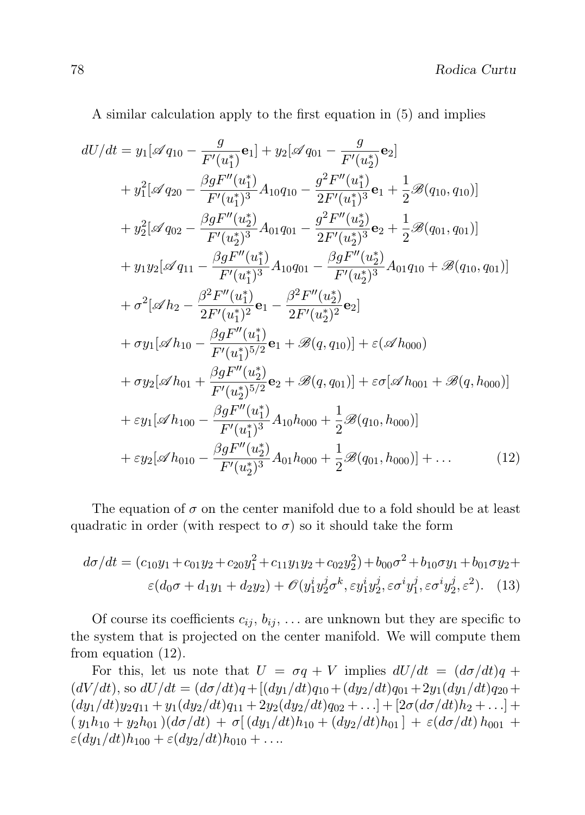A similar calculation apply to the first equation in (5) and implies

$$
dU/dt = y_1[\mathscr{A}q_{10} - \frac{g}{F'(u_1^*)} \mathbf{e}_1] + y_2[\mathscr{A}q_{01} - \frac{g}{F'(u_2^*)} \mathbf{e}_2]
$$
  
+  $y_1^2[\mathscr{A}q_{20} - \frac{\beta g F''(u_1^*)}{F'(u_1^*)^3} A_{10}q_{10} - \frac{g^2 F''(u_1^*)}{2F'(u_1^*)^3} \mathbf{e}_1 + \frac{1}{2} \mathscr{B}(q_{10}, q_{10})]$   
+  $y_2^2[\mathscr{A}q_{02} - \frac{\beta g F''(u_2^*)}{F'(u_2^*)^3} A_{01}q_{01} - \frac{g^2 F''(u_2^*)}{2F'(u_2^*)^3} \mathbf{e}_2 + \frac{1}{2} \mathscr{B}(q_{01}, q_{01})]$   
+  $y_1y_2[\mathscr{A}q_{11} - \frac{\beta g F''(u_1^*)}{F'(u_1^*)^3} A_{10}q_{01} - \frac{\beta g F''(u_2^*)}{F'(u_2^*)^3} A_{01}q_{10} + \mathscr{B}(q_{10}, q_{01})]$   
+  $\sigma^2[\mathscr{A}h_2 - \frac{\beta^2 F''(u_1^*)}{2F'(u_1^*)^2} \mathbf{e}_1 - \frac{\beta^2 F''(u_2^*)}{2F'(u_2^*)^2} \mathbf{e}_2]$   
+  $\sigma y_1[\mathscr{A}h_{10} - \frac{\beta g F''(u_1^*)}{F'(u_1^*)^5/2} \mathbf{e}_1 + \mathscr{B}(q, q_{10})] + \varepsilon(\mathscr{A}h_{000})$   
+  $\sigma y_2[\mathscr{A}h_{01} + \frac{\beta g F''(u_2^*)}{F'(u_2^*)^5/2} \mathbf{e}_2 + \mathscr{B}(q, q_{01})] + \varepsilon \sigma[\mathscr{A}h_{001} + \mathscr{B}(q, h_{000})]$   
+  $\varepsilon y_1[\mathscr{A}h_{100} - \frac{\beta g F''(u_1^*)}{F'(u_2^*)^3} A_{10}$ 

The equation of  $\sigma$  on the center manifold due to a fold should be at least quadratic in order (with respect to  $\sigma$ ) so it should take the form

$$
d\sigma/dt = (c_{10}y_1 + c_{01}y_2 + c_{20}y_1^2 + c_{11}y_1y_2 + c_{02}y_2^2) + b_{00}\sigma^2 + b_{10}\sigma y_1 + b_{01}\sigma y_2 + \varepsilon(d_{0}\sigma + d_{1}y_1 + d_{2}y_2) + \mathcal{O}(y_1^i y_2^j \sigma^k, \varepsilon y_1^i y_2^j, \varepsilon \sigma^i y_1^j, \varepsilon \sigma^i y_2^j, \varepsilon^2).
$$
 (13)

Of course its coefficients  $c_{ij}$ ,  $b_{ij}$ , ... are unknown but they are specific to the system that is projected on the center manifold. We will compute them from equation (12).

For this, let us note that  $U = \sigma q + V$  implies  $dU/dt = (d\sigma/dt)q +$  $(dV/dt)$ , so  $dU/dt = (d\sigma/dt)q + [(dy_1/dt)q_{10} + (dy_2/dt)q_{01} + 2y_1(dy_1/dt)q_{20} +$  $(dy_1/dt)y_2q_{11} + y_1(dy_2/dt)q_{11} + 2y_2(dy_2/dt)q_{02} + \ldots] + [2\sigma(d\sigma/dt)h_2 + \ldots] +$  $(y_1h_{10} + y_2h_{01})\frac{d\sigma}{dt} + \sigma\left[\frac{dy_1}{dt}\right]h_{10} + \frac{dy_2}{dt}h_{01} + \varepsilon\frac{d\sigma}{dt}h_{001} +$  $\varepsilon(dy_1/dt)h_{100} + \varepsilon(dy_2/dt)h_{010} + \ldots$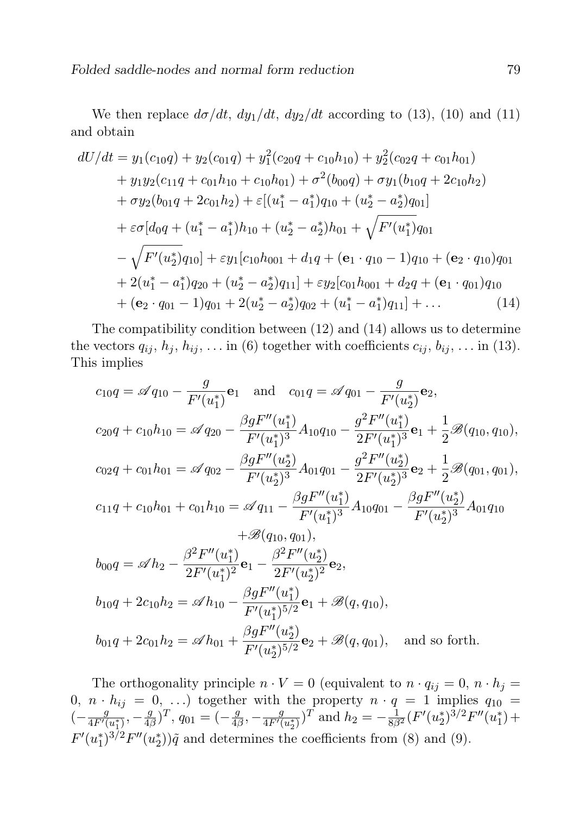We then replace  $d\sigma/dt$ ,  $dy_1/dt$ ,  $dy_2/dt$  according to (13), (10) and (11) and obtain

$$
dU/dt = y_1(c_{10}q) + y_2(c_{01}q) + y_1^2(c_{20}q + c_{10}h_{10}) + y_2^2(c_{02}q + c_{01}h_{01})
$$
  
+  $y_1y_2(c_{11}q + c_{01}h_{10} + c_{10}h_{01}) + \sigma^2(b_{00}q) + \sigma y_1(b_{10}q + 2c_{10}h_2)$   
+  $\sigma y_2(b_{01}q + 2c_{01}h_2) + \varepsilon[(u_1^* - a_1^*)q_{10} + (u_2^* - a_2^*)q_{01}]$   
+  $\varepsilon \sigma[d_0q + (u_1^* - a_1^*)h_{10} + (u_2^* - a_2^*)h_{01} + \sqrt{F'(u_1^*)}q_{01}$   
-  $\sqrt{F'(u_2^*)q_{10}} + \varepsilon y_1[c_{10}h_{001} + d_1q + (e_1 \cdot q_{10} - 1)q_{10} + (e_2 \cdot q_{10})q_{01}$   
+  $2(u_1^* - a_1^*)q_{20} + (u_2^* - a_2^*)q_{11}] + \varepsilon y_2[c_{01}h_{001} + d_2q + (e_1 \cdot q_{01})q_{10}$   
+  $(e_2 \cdot q_{01} - 1)q_{01} + 2(u_2^* - a_2^*)q_{02} + (u_1^* - a_1^*)q_{11}] + ...$  (14)

The compatibility condition between (12) and (14) allows us to determine the vectors  $q_{ij}$ ,  $h_j$ ,  $h_{ij}$ , ... in (6) together with coefficients  $c_{ij}$ ,  $b_{ij}$ , ... in (13). This implies

$$
c_{10}q = \mathscr{A}q_{10} - \frac{g}{F'(u_1^*)}\mathbf{e}_1 \quad \text{and} \quad c_{01}q = \mathscr{A}q_{01} - \frac{g}{F'(u_2^*)}\mathbf{e}_2,
$$
  
\n
$$
c_{20}q + c_{10}h_{10} = \mathscr{A}q_{20} - \frac{\beta g F''(u_1^*)}{F'(u_1^*)^3} A_{10}q_{10} - \frac{g^2 F''(u_1^*)}{2F'(u_1^*)^3} \mathbf{e}_1 + \frac{1}{2}\mathscr{B}(q_{10}, q_{10}),
$$
  
\n
$$
c_{02}q + c_{01}h_{01} = \mathscr{A}q_{02} - \frac{\beta g F''(u_2^*)}{F'(u_2^*)^3} A_{01}q_{01} - \frac{g^2 F''(u_2^*)}{2F'(u_2^*)^3} \mathbf{e}_2 + \frac{1}{2}\mathscr{B}(q_{01}, q_{01}),
$$
  
\n
$$
c_{11}q + c_{10}h_{01} + c_{01}h_{10} = \mathscr{A}q_{11} - \frac{\beta g F''(u_1^*)}{F'(u_1^*)^3} A_{10}q_{01} - \frac{\beta g F''(u_2^*)}{F'(u_2^*)^3} A_{01}q_{10}
$$
  
\n
$$
+ \mathscr{B}(q_{10}, q_{01}),
$$
  
\n
$$
b_{00}q = \mathscr{A}h_2 - \frac{\beta^2 F''(u_1^*)}{2F'(u_1^*)^2} \mathbf{e}_1 - \frac{\beta^2 F''(u_2^*)}{2F'(u_2^*)^2} \mathbf{e}_2,
$$
  
\n
$$
b_{10}q + 2c_{10}h_2 = \mathscr{A}h_{10} - \frac{\beta g F''(u_1^*)}{F'(u_1^*)^{5/2}} \mathbf{e}_1 + \mathscr{B}(q, q_{10}),
$$
  
\n
$$
b_{01}q + 2c_{01}h_2 = \mathscr{A}h_{01} + \frac{\beta g F''(u_2^*)}{F'(u_2^*)^{5/2}} \mathbf{e
$$

The orthogonality principle  $n \cdot V = 0$  (equivalent to  $n \cdot q_{ij} = 0$ ,  $n \cdot h_j =$ 0,  $n \cdot h_{ij} = 0, \ldots$  together with the property  $n \cdot q = 1$  implies  $q_{10} =$  $\left(-\frac{g}{4E'}\right)$  $\frac{g}{4F'(u_1^*)}, -\frac{g}{4\beta}$  $(\frac{g}{4\beta})^T$ ,  $q_{01} = (-\frac{g}{4\beta})$  $\frac{g}{4\beta}$ ,  $-\frac{g}{4F'(}$  $\frac{g}{4F'(u_2^*)}$ )<sup>T</sup> and  $h_2 = -\frac{1}{8\beta^2} (F'(u_2^*)^{3/2} F''(u_1^*) +$  $F'(u_1^*)^{3/2}F''(u_2^*))\tilde{q}$  and determines the coefficients from (8) and (9).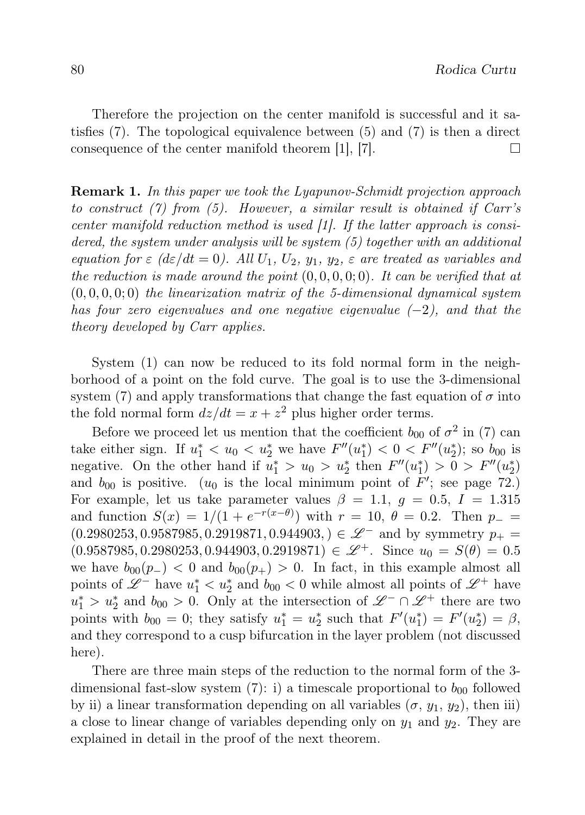Therefore the projection on the center manifold is successful and it satisfies (7). The topological equivalence between (5) and (7) is then a direct consequence of the center manifold theorem [1], [7].  $\Box$ 

Remark 1. In this paper we took the Lyapunov-Schmidt projection approach to construct (7) from (5). However, a similar result is obtained if Carr's center manifold reduction method is used [1]. If the latter approach is considered, the system under analysis will be system (5) together with an additional equation for  $\varepsilon$  (d $\varepsilon/dt = 0$ ). All  $U_1, U_2, y_1, y_2, \varepsilon$  are treated as variables and the reduction is made around the point  $(0, 0, 0, 0, 0)$ . It can be verified that at  $(0, 0, 0, 0; 0)$  the linearization matrix of the 5-dimensional dynamical system has four zero eigenvalues and one negative eigenvalue  $(-2)$ , and that the theory developed by Carr applies.

System (1) can now be reduced to its fold normal form in the neighborhood of a point on the fold curve. The goal is to use the 3-dimensional system (7) and apply transformations that change the fast equation of  $\sigma$  into the fold normal form  $dz/dt = x + z^2$  plus higher order terms.

Before we proceed let us mention that the coefficient  $b_{00}$  of  $\sigma^2$  in (7) can take either sign. If  $u_1^* < u_0 < u_2^*$  we have  $F''(u_1^*) < 0 < F''(u_2^*)$ ; so  $b_{00}$  is negative. On the other hand if  $u_1^* > u_0 > u_2^*$  then  $F''(u_1^*) > 0 > F''(u_2^*)$ and  $b_{00}$  is positive. ( $u_0$  is the local minimum point of  $F'$ ; see page 72.) For example, let us take parameter values  $\beta = 1.1, g = 0.5, I = 1.315$ and function  $S(x) = 1/(1 + e^{-r(x-\theta)})$  with  $r = 10, \theta = 0.2$ . Then  $p_ (0.2980253, 0.9587985, 0.2919871, 0.944903, ) \in \mathscr{L}^-$  and by symmetry  $p_+ =$  $(0.9587985, 0.2980253, 0.944903, 0.2919871) \in \mathscr{L}^+$ . Since  $u_0 = S(\theta) = 0.5$ we have  $b_{00}(p_{-})$  < 0 and  $b_{00}(p_{+}) > 0$ . In fact, in this example almost all points of  $\mathscr{L}^-$  have  $u_1^* < u_2^*$  and  $b_{00} < 0$  while almost all points of  $\mathscr{L}^+$  have  $u_1^* > u_2^*$  and  $b_{00} > 0$ . Only at the intersection of  $\mathscr{L}^- \cap \mathscr{L}^+$  there are two points with  $b_{00} = 0$ ; they satisfy  $u_1^* = u_2^*$  such that  $F'(u_1^*) = F'(u_2^*) = \beta$ , and they correspond to a cusp bifurcation in the layer problem (not discussed here).

There are three main steps of the reduction to the normal form of the 3 dimensional fast-slow system (7): i) a timescale proportional to  $b_{00}$  followed by ii) a linear transformation depending on all variables  $(\sigma, y_1, y_2)$ , then iii) a close to linear change of variables depending only on  $y_1$  and  $y_2$ . They are explained in detail in the proof of the next theorem.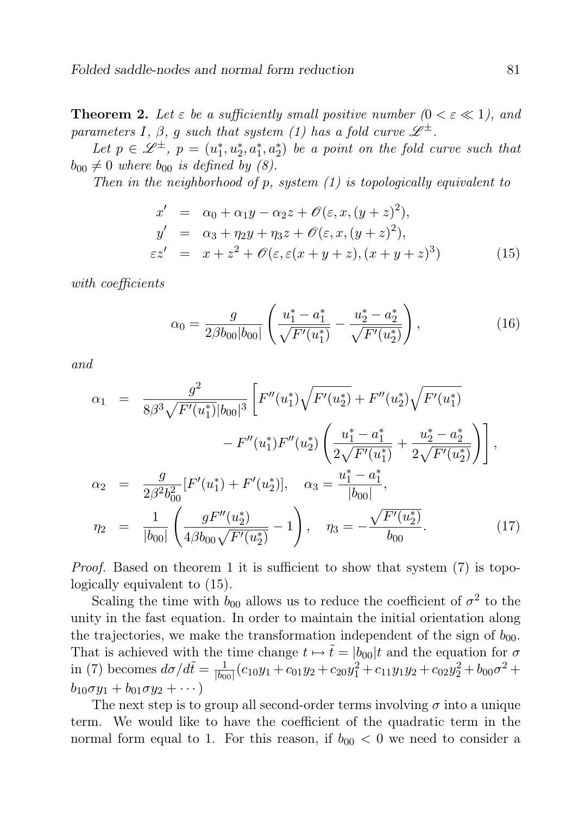**Theorem 2.** Let  $\varepsilon$  be a sufficiently small positive number  $(0 < \varepsilon \ll 1)$ , and parameters I,  $\beta$ , g such that system (1) has a fold curve  $\mathscr{L}^{\pm}$ .

Let  $p \in \mathscr{L}^{\pm}$ ,  $p = (u_1^*, u_2^*, a_1^*, a_2^*)$  be a point on the fold curve such that  $b_{00} \neq 0$  where  $b_{00}$  is defined by (8).

Then in the neighborhood of  $p$ , system  $(1)$  is topologically equivalent to

$$
x' = \alpha_0 + \alpha_1 y - \alpha_2 z + \mathcal{O}(\varepsilon, x, (y+z)^2),
$$
  
\n
$$
y' = \alpha_3 + \eta_2 y + \eta_3 z + \mathcal{O}(\varepsilon, x, (y+z)^2),
$$
  
\n
$$
\varepsilon z' = x + z^2 + \mathcal{O}(\varepsilon, \varepsilon (x+y+z), (x+y+z)^3)
$$
\n(15)

with coefficients

$$
\alpha_0 = \frac{g}{2\beta b_{00}|b_{00}|} \left( \frac{u_1^* - a_1^*}{\sqrt{F'(u_1^*)}} - \frac{u_2^* - a_2^*}{\sqrt{F'(u_2^*)}} \right),\tag{16}
$$

and

$$
\alpha_1 = \frac{g^2}{8\beta^3 \sqrt{F'(u_1^*)} |b_{00}|^3} \left[ F''(u_1^*) \sqrt{F'(u_2^*)} + F''(u_2^*) \sqrt{F'(u_1^*)} - F''(u_1^*) F''(u_2^*) \left( \frac{u_1^* - a_1^*}{2\sqrt{F'(u_1^*)}} + \frac{u_2^* - a_2^*}{2\sqrt{F'(u_2^*)}} \right) \right],
$$
  
\n
$$
\alpha_2 = \frac{g}{2\beta^2 b_{00}^2} [F'(u_1^*) + F'(u_2^*)], \quad \alpha_3 = \frac{u_1^* - a_1^*}{|b_{00}|},
$$
  
\n
$$
\eta_2 = \frac{1}{|b_{00}|} \left( \frac{gF''(u_2^*)}{4\beta b_{00} \sqrt{F'(u_2^*)}} - 1 \right), \quad \eta_3 = -\frac{\sqrt{F'(u_2^*)}}{b_{00}}.
$$
 (17)

Proof. Based on theorem 1 it is sufficient to show that system (7) is topologically equivalent to (15).

Scaling the time with  $b_{00}$  allows us to reduce the coefficient of  $\sigma^2$  to the unity in the fast equation. In order to maintain the initial orientation along the trajectories, we make the transformation independent of the sign of  $b_{00}$ . That is achieved with the time change  $t \mapsto \tilde{t} = |b_{00}|t$  and the equation for  $\sigma$ in (7) becomes  $d\sigma/d\tilde{t} = \frac{1}{b_0}$  $\frac{1}{|b_{00}|}(c_{10}y_1 + c_{01}y_2 + c_{20}y_1^2 + c_{11}y_1y_2 + c_{02}y_2^2 + b_{00}\sigma^2 +$  $b_{10}\sigma y_1 + b_{01}\sigma y_2 + \cdots$ 

The next step is to group all second-order terms involving  $\sigma$  into a unique term. We would like to have the coefficient of the quadratic term in the normal form equal to 1. For this reason, if  $b_{00} < 0$  we need to consider a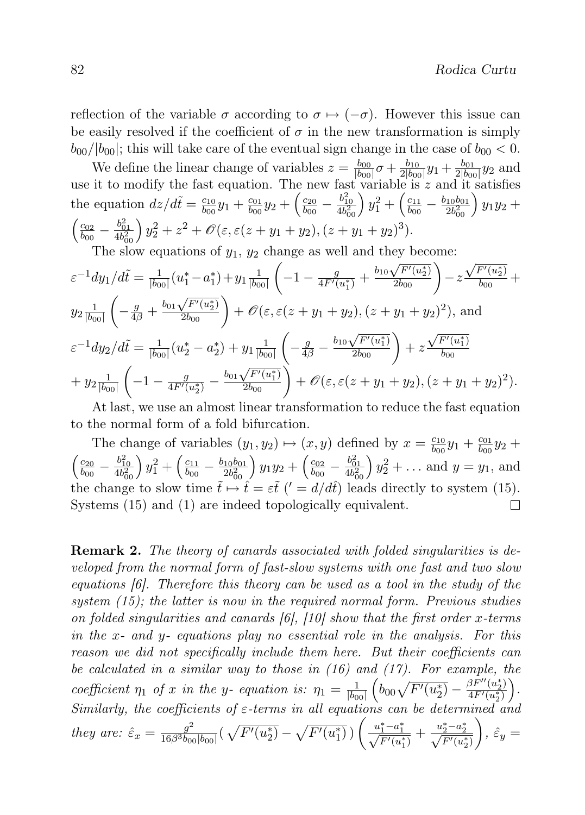reflection of the variable  $\sigma$  according to  $\sigma \mapsto (-\sigma)$ . However this issue can be easily resolved if the coefficient of  $\sigma$  in the new transformation is simply  $b_{00}/|b_{00}|$ ; this will take care of the eventual sign change in the case of  $b_{00} < 0$ .

We define the linear change of variables  $z = \frac{b_{00}}{b_{00}}$  $\frac{b_{00}}{|b_{00}|}\sigma + \frac{b_{10}}{2|b_{00}}$  $\frac{b_{10}}{2|b_{00}|}y_1+\frac{b_{01}}{2|b_{00}}$  $\frac{b_{01}}{2|b_{00}|}y_2$  and use it to modify the fast equation. The new fast variable is  $z$  and it satisfies the equation  $dz/d\tilde{t} = \frac{c_{10}}{b_{00}}$  $\frac{c_{10}}{b_{00}}y_1 + \frac{c_{01}}{b_{00}}$  $\frac{c_{01}}{b_{00}}y_2+\Big(\frac{c_{20}}{b_{00}}$  $\frac{c_{20}}{b_{00}} - \frac{b_{10}^2}{4 b_{00}^2} y_1^2 + \left(\frac{c_{11}}{b_{00}}\right)$  $\frac{c_{11}}{b_{00}} - \frac{b_{10}b_{01}}{2b_{00}^2}$  $\left(\frac{10^{b_{01}}}{2b_{00}^2}\right)y_1y_2 +$  $\int$  c<sub>02</sub>  $\frac{c_{02}}{b_{00}} - \frac{b_{01}^2}{4b_{00}^2} y_2^2 + z^2 + \mathscr{O}(\varepsilon, \varepsilon (z + y_1 + y_2), (z + y_1 + y_2)^3).$ 

The slow equations of 
$$
y_1
$$
,  $y_2$  change as well and they become:  
\n
$$
\varepsilon^{-1} dy_1/d\tilde{t} = \frac{1}{|b_{00}|} (u_1^* - a_1^*) + y_1 \frac{1}{|b_{00}|} \left( -1 - \frac{g}{4F'(u_1^*)} + \frac{b_{10}\sqrt{F'(u_2^*)}}{2b_{00}} \right) - z \frac{\sqrt{F'(u_2^*)}}{b_{00}} + y_2 \frac{1}{|b_{00}|} \left( -\frac{g}{4\beta} + \frac{b_{01}\sqrt{F'(u_2^*)}}{2b_{00}} \right) + \mathcal{O}(\varepsilon, \varepsilon(z + y_1 + y_2), (z + y_1 + y_2)^2),
$$
and
$$
\varepsilon^{-1} dy_2/d\tilde{t} = \frac{1}{|b_{00}|} (u_2^* - a_2^*) + y_1 \frac{1}{|b_{00}|} \left( -\frac{g}{4\beta} - \frac{b_{10}\sqrt{F'(u_1^*)}}{2b_{00}} \right) + z \frac{\sqrt{F'(u_1^*)}}{b_{00}}
$$
\n
$$
+ y_2 \frac{1}{|b_{00}|} \left( -1 - \frac{g}{4F'(u_2^*)} - \frac{b_{01}\sqrt{F'(u_1^*)}}{2b_{00}} \right) + \mathcal{O}(\varepsilon, \varepsilon(z + y_1 + y_2), (z + y_1 + y_2)^2).
$$

At last, we use an almost linear transformation to reduce the fast equation to the normal form of a fold bifurcation.

The change of variables  $(y_1, y_2) \mapsto (x, y)$  defined by  $x = \frac{c_{10}}{b_{00}}$  $\frac{c_{10}}{b_{00}}y_1 + \frac{c_{01}}{b_{00}}$  $\frac{c_{01}}{b_{00}}y_2 +$  $\frac{c_{20}}{b_{00}} - \frac{b_{10}^2}{4 b_{00}^2} y_1^2 + \left(\frac{c_{11}}{b_{00}}\right)$  $\frac{c_{02}}{b_{00}} - \frac{b_{01}^2}{4b_{00}^2}$   $y_2^2 + \ldots$  and  $y = y_1$ , and  $\sqrt{c_{20}}$  $\left(\frac{10b_{01}}{2b_{00}^2}\right)y_1y_2+\left(\frac{c_{02}}{b_{00}}\right)$  $\frac{c_{11}}{b_{00}} - \frac{b_{10}b_{01}}{2b_{00}^2}$ the change to slow time  $\tilde{t} \mapsto \hat{t} = \varepsilon \tilde{t}$   $(′ = d/d\hat{t})$  leads directly to system (15). Systems (15) and (1) are indeed topologically equivalent.  $\Box$ 

Remark 2. The theory of canards associated with folded singularities is developed from the normal form of fast-slow systems with one fast and two slow equations [6]. Therefore this theory can be used as a tool in the study of the system  $(15)$ ; the latter is now in the required normal form. Previous studies on folded singularities and canards [6], [10] show that the first order x-terms in the x- and y- equations play no essential role in the analysis. For this reason we did not specifically include them here. But their coefficients can be calculated in a similar way to those in (16) and (17). For example, the coefficient  $\eta_1$  of x in the y- equation is:  $\eta_1 = \frac{1}{b_0}$  $|b_{00}|$  $\left(b_{00}\sqrt{F'(u_2^*)} - \frac{\beta F''(u_2^*)}{4F'(u_2^*)}\right)$  $\frac{\beta F^{\prime\prime}(u_2^*)}{4F^\prime(u_2^*)}\biggr).$ Similarly, the coefficients of  $\varepsilon$ -terms in all equations can be determined they are:  $\hat{\varepsilon}_x = \frac{g^2}{16\beta^3 b_{00}}$  $\frac{g^2}{16 \beta^3 b_{00}|b_{00}|} \big(\sqrt{F'(u_2^*)} - \sqrt{F'(u_1^*)}\,\big) \Bigg( \frac{u_1^*-a_1^*}{\sqrt{F'(u_1^*)}} + \frac{u_2^*-a_2^*}{\sqrt{F'(u_2^*)}} \Bigg)$  $\bigg), \hat{\varepsilon}_y =$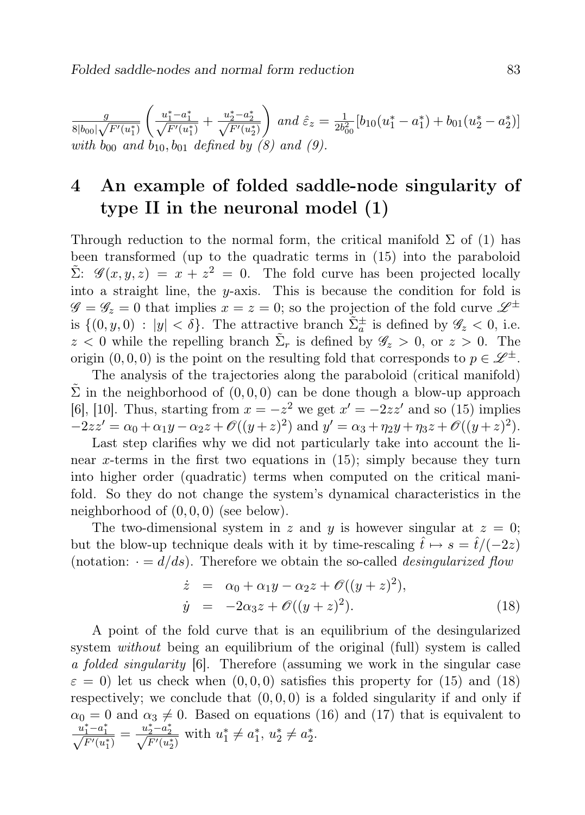g  $\frac{g}{8|b_{00}|\sqrt{F'(u_1^*)}}$  $\left( \frac{u_1^*-a_1^*}{\sqrt{F'(u_1^*)}} + \frac{u_2^*-a_2^*}{\sqrt{F'(u_2^*)}} \right)$ ) and  $\hat{\varepsilon}_z = \frac{1}{2b^2}$  $\frac{1}{2b_{00}^2} [b_{10}(u_1^*-a_1^*)+b_{01}(u_2^*-a_2^*)]$ with  $b_{00}$  and  $b_{10}$ ,  $b_{01}$  defined by (8) and (9).

# 4 An example of folded saddle-node singularity of type II in the neuronal model (1)

Through reduction to the normal form, the critical manifold  $\Sigma$  of (1) has been transformed (up to the quadratic terms in (15) into the paraboloid  $\tilde{\Sigma}$ :  $\mathscr{G}(x, y, z) = x + z^2 = 0$ . The fold curve has been projected locally into a straight line, the  $y$ -axis. This is because the condition for fold is  $\mathscr{G} = \mathscr{G}_z = 0$  that implies  $x = z = 0$ ; so the projection of the fold curve  $\mathscr{L}^{\pm}$ is  $\{(0, y, 0) : |y| < \delta\}$ . The attractive branch  $\tilde{\Sigma}_a^{\pm}$  is defined by  $\mathscr{G}_z < 0$ , i.e.  $z < 0$  while the repelling branch  $\tilde{\Sigma}_r$  is defined by  $\mathscr{G}_z > 0$ , or  $z > 0$ . The origin  $(0, 0, 0)$  is the point on the resulting fold that corresponds to  $p \in \mathscr{L}^{\pm}$ .

The analysis of the trajectories along the paraboloid (critical manifold)  $\Sigma$  in the neighborhood of  $(0, 0, 0)$  can be done though a blow-up approach [6], [10]. Thus, starting from  $x = -z^2$  we get  $x' = -2zz'$  and so (15) implies  $-2zz' = \alpha_0 + \alpha_1 y - \alpha_2 z + \mathcal{O}((y+z)^2)$  and  $y' = \alpha_3 + \eta_2 y + \eta_3 z + \mathcal{O}((y+z)^2)$ .

Last step clarifies why we did not particularly take into account the linear x-terms in the first two equations in  $(15)$ ; simply because they turn into higher order (quadratic) terms when computed on the critical manifold. So they do not change the system's dynamical characteristics in the neighborhood of  $(0, 0, 0)$  (see below).

The two-dimensional system in z and y is however singular at  $z = 0$ ; but the blow-up technique deals with it by time-rescaling  $\hat{t} \mapsto s = \hat{t}/(-2z)$ (notation:  $\cdot = d/ds$ ). Therefore we obtain the so-called *desingularized flow* 

$$
\dot{z} = \alpha_0 + \alpha_1 y - \alpha_2 z + \mathcal{O}((y+z)^2),
$$
  
\n
$$
\dot{y} = -2\alpha_3 z + \mathcal{O}((y+z)^2).
$$
\n(18)

A point of the fold curve that is an equilibrium of the desingularized system *without* being an equilibrium of the original (full) system is called a folded singularity [6]. Therefore (assuming we work in the singular case  $\varepsilon = 0$ ) let us check when  $(0, 0, 0)$  satisfies this property for (15) and (18) respectively; we conclude that  $(0, 0, 0)$  is a folded singularity if and only if  $\alpha_0 = 0$  and  $\alpha_3 \neq 0$ . Based on equations (16) and (17) that is equivalent to  $\frac{u_1^* - a_1^*}{\sqrt{F'(u_1^*)}} = \frac{u_2^* - a_2^*}{\sqrt{F'(u_2^*)}}$  with  $u_1^* \neq a_1^*$ ,  $u_2^* \neq a_2^*$ .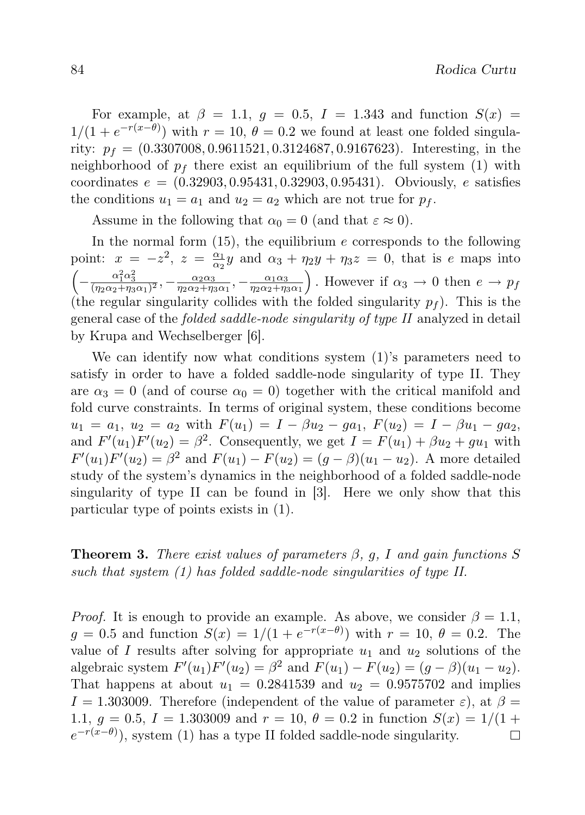For example, at  $\beta = 1.1$ ,  $q = 0.5$ ,  $I = 1.343$  and function  $S(x) =$  $1/(1 + e^{-r(x-\theta)})$  with  $r = 10, \theta = 0.2$  we found at least one folded singularity:  $p_f = (0.3307008, 0.9611521, 0.3124687, 0.9167623)$ . Interesting, in the neighborhood of  $p_f$  there exist an equilibrium of the full system (1) with coordinates  $e = (0.32903, 0.95431, 0.32903, 0.95431)$ . Obviously, e satisfies the conditions  $u_1 = a_1$  and  $u_2 = a_2$  which are not true for  $p_f$ .

Assume in the following that  $\alpha_0 = 0$  (and that  $\varepsilon \approx 0$ ).

In the normal form  $(15)$ , the equilibrium e corresponds to the following point:  $x = -z^2$ ,  $z = \frac{\alpha_1}{\alpha_2}$  $\frac{\alpha_1}{\alpha_2}y$  and  $\alpha_3 + \eta_2y + \eta_3z = 0$ , that is e maps into  $\left(-\frac{\alpha_1^2\alpha_3^2}{(\eta_2\alpha_2+\eta_3\alpha_1)^2},-\frac{\alpha_2\alpha_3}{\eta_2\alpha_2+\eta_3}\right)$  $\frac{\alpha_2\alpha_3}{\eta_2\alpha_2+\eta_3\alpha_1},-\frac{\alpha_1\alpha_3}{\eta_2\alpha_2+\eta_3}$  $\overline{\eta_2\alpha_2+\eta_3\alpha_1}$ ). However if  $\alpha_3 \to 0$  then  $e \to p_f$ (the regular singularity collides with the folded singularity  $p_f$ ). This is the general case of the folded saddle-node singularity of type II analyzed in detail by Krupa and Wechselberger [6].

We can identify now what conditions system (1)'s parameters need to satisfy in order to have a folded saddle-node singularity of type II. They are  $\alpha_3 = 0$  (and of course  $\alpha_0 = 0$ ) together with the critical manifold and fold curve constraints. In terms of original system, these conditions become  $u_1 = a_1, u_2 = a_2$  with  $F(u_1) = I - \beta u_2 - ga_1$ ,  $F(u_2) = I - \beta u_1 - ga_2$ , and  $F'(u_1)F'(u_2) = \beta^2$ . Consequently, we get  $I = F(u_1) + \beta u_2 + gu_1$  with  $F'(u_1)F'(u_2) = \beta^2$  and  $F(u_1) - F(u_2) = (g - \beta)(u_1 - u_2)$ . A more detailed study of the system's dynamics in the neighborhood of a folded saddle-node singularity of type II can be found in [3]. Here we only show that this particular type of points exists in (1).

**Theorem 3.** There exist values of parameters  $\beta$ , g, I and gain functions S such that system (1) has folded saddle-node singularities of type II.

*Proof.* It is enough to provide an example. As above, we consider  $\beta = 1.1$ ,  $g = 0.5$  and function  $S(x) = 1/(1 + e^{-r(x-\theta)})$  with  $r = 10, \theta = 0.2$ . The value of I results after solving for appropriate  $u_1$  and  $u_2$  solutions of the algebraic system  $F'(u_1)F'(u_2) = \beta^2$  and  $F(u_1) - F(u_2) = (g - \beta)(u_1 - u_2)$ . That happens at about  $u_1 = 0.2841539$  and  $u_2 = 0.9575702$  and implies  $I = 1.303009$ . Therefore (independent of the value of parameter  $\varepsilon$ ), at  $\beta =$ 1.1,  $g = 0.5$ ,  $I = 1.303009$  and  $r = 10$ ,  $\theta = 0.2$  in function  $S(x) = 1/(1 +$  $e^{-r(x-\theta)}$ , system (1) has a type II folded saddle-node singularity.  $\Box$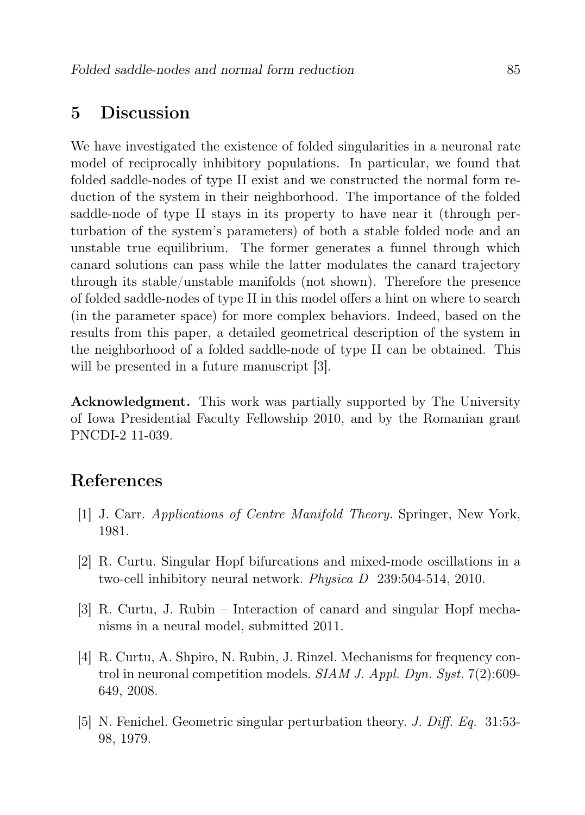#### 5 Discussion

We have investigated the existence of folded singularities in a neuronal rate model of reciprocally inhibitory populations. In particular, we found that folded saddle-nodes of type II exist and we constructed the normal form reduction of the system in their neighborhood. The importance of the folded saddle-node of type II stays in its property to have near it (through perturbation of the system's parameters) of both a stable folded node and an unstable true equilibrium. The former generates a funnel through which canard solutions can pass while the latter modulates the canard trajectory through its stable/unstable manifolds (not shown). Therefore the presence of folded saddle-nodes of type II in this model offers a hint on where to search (in the parameter space) for more complex behaviors. Indeed, based on the results from this paper, a detailed geometrical description of the system in the neighborhood of a folded saddle-node of type II can be obtained. This will be presented in a future manuscript [3].

Acknowledgment. This work was partially supported by The University of Iowa Presidential Faculty Fellowship 2010, and by the Romanian grant PNCDI-2 11-039.

## References

- [1] J. Carr. Applications of Centre Manifold Theory. Springer, New York, 1981.
- [2] R. Curtu. Singular Hopf bifurcations and mixed-mode oscillations in a two-cell inhibitory neural network. Physica D 239:504-514, 2010.
- [3] R. Curtu, J. Rubin Interaction of canard and singular Hopf mechanisms in a neural model, submitted 2011.
- [4] R. Curtu, A. Shpiro, N. Rubin, J. Rinzel. Mechanisms for frequency control in neuronal competition models. SIAM J. Appl. Dyn. Syst.  $7(2):609-$ 649, 2008.
- [5] N. Fenichel. Geometric singular perturbation theory. J. Diff. Eq. 31:53- 98, 1979.